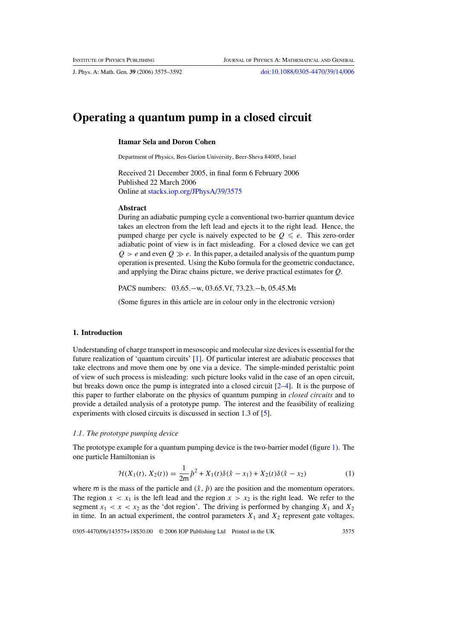# **Operating a quantum pump in a closed circuit**

## **Itamar Sela and Doron Cohen**

Department of Physics, Ben-Gurion University, Beer-Sheva 84005, Israel

Received 21 December 2005, in final form 6 February 2006 Published 22 March 2006 Online at [stacks.iop.org/JPhysA/39/3575](http://stacks.iop.org/JPhysA/39/3575)

#### **Abstract**

During an adiabatic pumping cycle a conventional two-barrier quantum device takes an electron from the left lead and ejects it to the right lead. Hence, the pumped charge per cycle is naively expected to be  $Q \leq e$ . This zero-order adiabatic point of view is in fact misleading. For a closed device we can get  $Q > e$  and even  $Q \gg e$ . In this paper, a detailed analysis of the quantum pump operation is presented. Using the Kubo formula for the geometric conductance, and applying the Dirac chains picture, we derive practical estimates for *Q*.

PACS numbers: 03.65.−w, 03.65.Vf, 73.23.−b, 05.45.Mt

(Some figures in this article are in colour only in the electronic version)

## **1. Introduction**

Understanding of charge transport in mesoscopic and molecular size devices is essential for the future realization of 'quantum circuits' [\[1](#page-17-0)]. Of particular interest are adiabatic processes that take electrons and move them one by one via a device. The simple-minded peristaltic point of view of such process is misleading: such picture looks valid in the case of an open circuit, but breaks down once the pump is integrated into a closed circuit  $[2-4]$ . It is the purpose of this paper to further elaborate on the physics of quantum pumping in *closed circuits* and to provide a detailed analysis of a prototype pump. The interest and the feasibility of realizing experiments with closed circuits is discussed in section 1.3 of [\[5\]](#page-17-0).

#### *1.1. The prototype pumping device*

The prototype example for a quantum pumping device is the two-barrier model (figure [1\)](#page-1-0). The one particle Hamiltonian is

$$
\mathcal{H}(X_1(t), X_2(t)) = \frac{1}{2m}\hat{p}^2 + X_1(t)\delta(\hat{x} - x_1) + X_2(t)\delta(\hat{x} - x_2)
$$
\n(1)

where m is the mass of the particle and  $(\hat{x}, \hat{p})$  are the position and the momentum operators. The region  $x < x_1$  is the left lead and the region  $x > x_2$  is the right lead. We refer to the segment  $x_1 < x < x_2$  as the 'dot region'. The driving is performed by changing  $X_1$  and  $X_2$ in time. In an actual experiment, the control parameters  $X_1$  and  $X_2$  represent gate voltages.

0305-4470/06/143575+18\$30.00 © 2006 IOP Publishing Ltd Printed in the UK 3575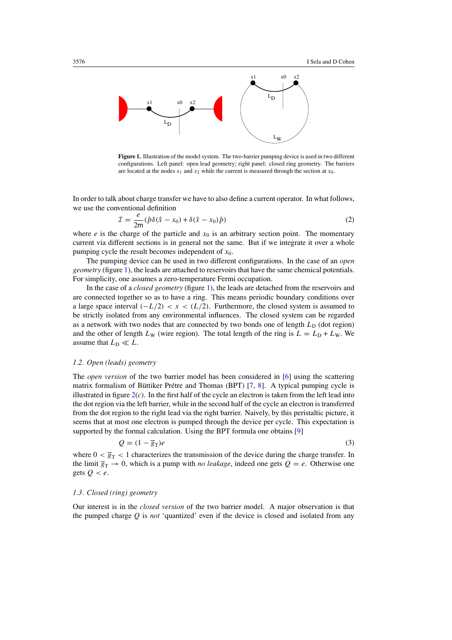<span id="page-1-0"></span>

**Figure 1.** Illustration of the model system. The two-barrier pumping device is used in two different configurations. Left panel: open lead geometry; right panel: closed ring geometry. The barriers are located at the nodes  $x_1$  and  $x_2$  while the current is measured through the section at  $x_0$ .

In order to talk about charge transfer we have to also define a current operator. In what follows, we use the conventional definition

$$
\mathcal{I} = \frac{e}{2m} (\hat{p}\delta(\hat{x} - x_0) + \delta(\hat{x} - x_0)\hat{p})
$$
\n(2)

where *e* is the charge of the particle and  $x<sub>0</sub>$  is an arbitrary section point. The momentary current via different sections is in general not the same. But if we integrate it over a whole pumping cycle the result becomes independent of *x*0.

The pumping device can be used in two different configurations. In the case of an *open geometry* (figure 1), the leads are attached to reservoirs that have the same chemical potentials. For simplicity, one assumes a zero-temperature Fermi occupation.

In the case of a *closed geometry* (figure 1), the leads are detached from the reservoirs and are connected together so as to have a ring. This means periodic boundary conditions over a large space interval  $(-L/2) < x < (L/2)$ . Furthermore, the closed system is assumed to be strictly isolated from any environmental influences. The closed system can be regarded as a network with two nodes that are connected by two bonds one of length  $L_D$  (dot region) and the other of length  $L_W$  (wire region). The total length of the ring is  $L = L_D + L_W$ . We assume that  $L_D \ll L$ .

## *1.2. Open (leads) geometry*

The *open version* of the two barrier model has been considered in [\[6](#page-17-0)] using the scattering matrix formalism of Büttiker Prétre and Thomas (BPT)  $[7, 8]$  $[7, 8]$  $[7, 8]$  $[7, 8]$  $[7, 8]$ . A typical pumping cycle is illustrated in figure  $2(c)$  $2(c)$ . In the first half of the cycle an electron is taken from the left lead into the dot region via the left barrier, while in the second half of the cycle an electron is transferred from the dot region to the right lead via the right barrier. Naively, by this peristaltic picture, it seems that at most one electron is pumped through the device per cycle. This expectation is supported by the formal calculation. Using the BPT formula one obtains [\[9\]](#page-17-0)

$$
Q = (1 - \overline{g}_T)e
$$
 (3)

where  $0 < \overline{g}_T < 1$  characterizes the transmission of the device during the charge transfer. In the limit  $\overline{g}_T \to 0$ , which is a pump with *no leakage*, indeed one gets  $Q = e$ . Otherwise one gets  $Q < e$ .

#### *1.3. Closed (ring) geometry*

Our interest is in the *closed version* of the two barrier model. A major observation is that the pumped charge  $Q$  is *not* 'quantized' even if the device is closed and isolated from any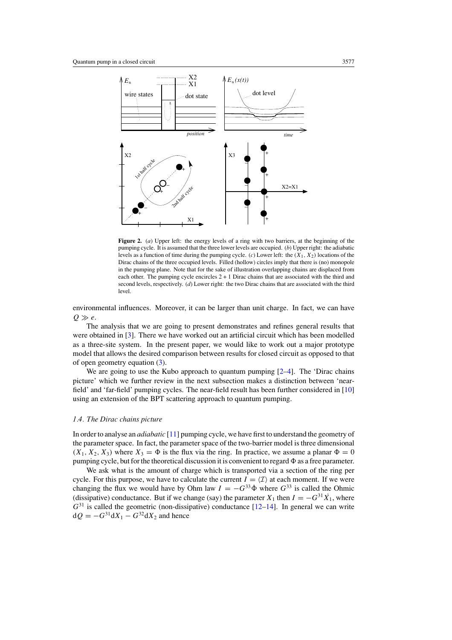<span id="page-2-0"></span>

Figure 2. (*a*) Upper left: the energy levels of a ring with two barriers, at the beginning of the pumping cycle. It is assumed that the three lower levels are occupied. (*b*) Upper right: the adiabatic levels as a function of time during the pumping cycle. (*c*) Lower left: the *(X*1*, X*2*)* locations of the Dirac chains of the three occupied levels. Filled (hollow) circles imply that there is (no) monopole in the pumping plane. Note that for the sake of illustration overlapping chains are displaced from each other. The pumping cycle encircles  $2 + 1$  Dirac chains that are associated with the third and second levels, respectively. (*d*) Lower right: the two Dirac chains that are associated with the third level.

environmental influences. Moreover, it can be larger than unit charge. In fact, we can have  $Q \gg e$ .

The analysis that we are going to present demonstrates and refines general results that were obtained in [\[3\]](#page-17-0). There we have worked out an artificial circuit which has been modelled as a three-site system. In the present paper, we would like to work out a major prototype model that allows the desired comparison between results for closed circuit as opposed to that of open geometry equation [\(3\)](#page-1-0).

We are going to use the Kubo approach to quantum pumping [2-4]. The 'Dirac chains picture' which we further review in the next subsection makes a distinction between 'nearfield' and 'far-field' pumping cycles. The near-field result has been further considered in [\[10](#page-17-0)] using an extension of the BPT scattering approach to quantum pumping.

### *1.4. The Dirac chains picture*

In order to analyse an *adiabatic* [\[11\]](#page-17-0) pumping cycle, we have first to understand the geometry of the parameter space. In fact, the parameter space of the two-barrier model is three dimensional  $(X_1, X_2, X_3)$  where  $X_3 = \Phi$  is the flux via the ring. In practice, we assume a planar  $\Phi = 0$ pumping cycle, but for the theoretical discussion it is convenient to regard  $\Phi$  as a free parameter.

We ask what is the amount of charge which is transported via a section of the ring per cycle. For this purpose, we have to calculate the current  $I = \langle I \rangle$  at each moment. If we were changing the flux we would have by Ohm law  $I = -G^{33} \dot{\Phi}$  where  $G^{33}$  is called the Ohmic (dissipative) conductance. But if we change (say) the parameter  $X_1$  then  $I = -G^{31} \dot{X}_1$ , where  $G^{31}$  is called the geometric (non-dissipative) conductance  $[12-14]$ . In general we can write  $dQ = -G^{31}dX_1 - G^{32}dX_2$  and hence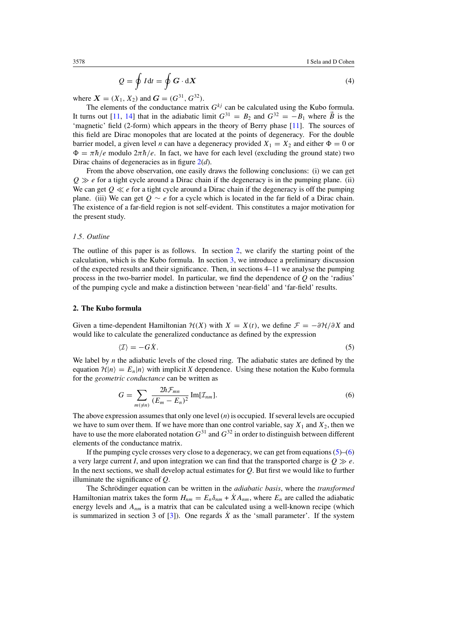$$
Q = \oint I dt = \oint G \cdot dX \tag{4}
$$

<span id="page-3-0"></span>where  $X = (X_1, X_2)$  and  $G = (G^{31}, G^{32})$ .

The elements of the conductance matrix  $G^{kj}$  can be calculated using the Kubo formula. It turns out [\[11](#page-17-0), [14\]](#page-17-0) that in the adiabatic limit  $G^{31} = B_2$  and  $G^{32} = -B_1$  where  $\vec{B}$  is the 'magnetic' field (2-form) which appears in the theory of Berry phase [\[11](#page-17-0)]. The sources of this field are Dirac monopoles that are located at the points of degeneracy. For the double barrier model, a given level *n* can have a degeneracy provided  $X_1 = X_2$  and either  $\Phi = 0$  or  $\Phi = \pi \hbar / e$  modulo  $2\pi \hbar / e$ . In fact, we have for each level (excluding the ground state) two Dirac chains of degeneracies as in figure [2\(](#page-2-0)*d*).

From the above observation, one easily draws the following conclusions: (i) we can get  $Q \gg e$  for a tight cycle around a Dirac chain if the degeneracy is in the pumping plane. (ii) We can get  $Q \ll e$  for a tight cycle around a Dirac chain if the degeneracy is off the pumping plane. (iii) We can get *Q* ∼ *e* for a cycle which is located in the far field of a Dirac chain. The existence of a far-field region is not self-evident. This constitutes a major motivation for the present study.

#### *1.5. Outline*

The outline of this paper is as follows. In section 2, we clarify the starting point of the calculation, which is the Kubo formula. In section [3,](#page-4-0) we introduce a preliminary discussion of the expected results and their significance. Then, in sections 4–11 we analyse the pumping process in the two-barrier model. In particular, we find the dependence of *Q* on the 'radius' of the pumping cycle and make a distinction between 'near-field' and 'far-field' results.

## **2. The Kubo formula**

Given a time-dependent Hamiltonian  $H(X)$  with  $X = X(t)$ , we define  $\mathcal{F} = -\frac{\partial H}{\partial X}$  and would like to calculate the generalized conductance as defined by the expression

$$
\langle \mathcal{I} \rangle = -G\dot{X}.\tag{5}
$$

We label by *n* the adiabatic levels of the closed ring. The adiabatic states are defined by the equation  $\mathcal{H}|n\rangle = E_n|n\rangle$  with implicit *X* dependence. Using these notation the Kubo formula for the *geometric conductance* can be written as

$$
G = \sum_{m(\neq n)} \frac{2\hbar \mathcal{F}_{mn}}{(E_m - E_n)^2} \operatorname{Im}[\mathcal{I}_{nm}].
$$
 (6)

The above expression assumes that only one level (*n*) is occupied. If several levels are occupied we have to sum over them. If we have more than one control variable, say  $X_1$  and  $X_2$ , then we have to use the more elaborated notation  $G^{31}$  and  $G^{32}$  in order to distinguish between different elements of the conductance matrix.

If the pumping cycle crosses very close to a degeneracy, we can get from equations (5)–(6) a very large current *I*, and upon integration we can find that the transported charge is  $Q \gg e$ . In the next sections, we shall develop actual estimates for *Q*. But first we would like to further illuminate the significance of *Q*.

The Schrödinger equation can be written in the *adiabatic basis*, where the *transformed* Hamiltonian matrix takes the form  $H_{nm} = E_n \delta_{nm} + \dot{X} A_{nm}$ , where  $E_n$  are called the adiabatic energy levels and  $A_{nm}$  is a matrix that can be calculated using a well-known recipe (which is summarized in section 3 of  $[3]$  $[3]$ ). One regards  $\dot{X}$  as the 'small parameter'. If the system

$$
^{(4)}
$$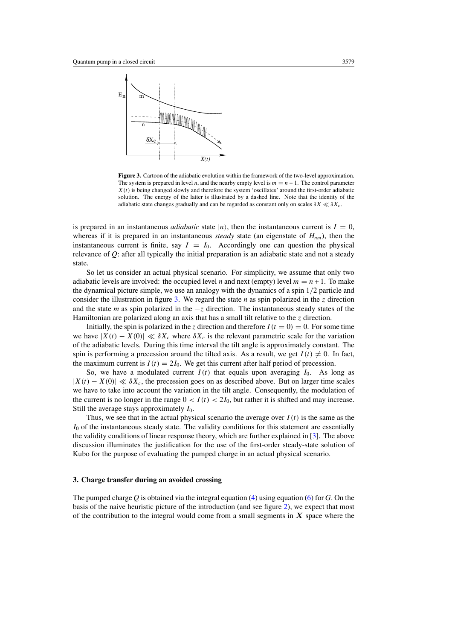<span id="page-4-0"></span>

**Figure 3.** Cartoon of the adiabatic evolution within the framework of the two-level approximation. The system is prepared in level *n*, and the nearby empty level is  $m = n + 1$ . The control parameter *X(t)* is being changed slowly and therefore the system 'oscillates' around the first-order adiabatic solution. The energy of the latter is illustrated by a dashed line. Note that the identity of the adiabatic state changes gradually and can be regarded as constant only on scales  $\delta X \ll \delta X_c$ .

is prepared in an instantaneous *adiabatic* state  $|n\rangle$ , then the instantaneous current is  $I = 0$ , whereas if it is prepared in an instantaneous *steady* state (an eigenstate of  $H_{nm}$ ), then the instantaneous current is finite, say  $I = I_0$ . Accordingly one can question the physical relevance of *Q*: after all typically the initial preparation is an adiabatic state and not a steady state.

So let us consider an actual physical scenario. For simplicity, we assume that only two adiabatic levels are involved: the occupied level *n* and next (empty) level  $m = n + 1$ . To make the dynamical picture simple, we use an analogy with the dynamics of a spin 1*/*2 particle and consider the illustration in figure 3. We regard the state *n* as spin polarized in the *z* direction and the state *m* as spin polarized in the −*z* direction. The instantaneous steady states of the Hamiltonian are polarized along an axis that has a small tilt relative to the *z* direction.

Initially, the spin is polarized in the *z* direction and therefore  $I(t = 0) = 0$ . For some time we have  $|X(t) - X(0)| \ll \delta X_c$  where  $\delta X_c$  is the relevant parametric scale for the variation of the adiabatic levels. During this time interval the tilt angle is approximately constant. The spin is performing a precession around the tilted axis. As a result, we get  $I(t) \neq 0$ . In fact, the maximum current is  $I(t) = 2I_0$ . We get this current after half period of precession.

So, we have a modulated current  $I(t)$  that equals upon averaging  $I_0$ . As long as  $|X(t) - X(0)| \ll \delta X_c$ , the precession goes on as described above. But on larger time scales we have to take into account the variation in the tilt angle. Consequently, the modulation of the current is no longer in the range  $0 < I(t) < 2I_0$ , but rather it is shifted and may increase. Still the average stays approximately  $I_0$ .

Thus, we see that in the actual physical scenario the average over  $I(t)$  is the same as the *I*<sub>0</sub> of the instantaneous steady state. The validity conditions for this statement are essentially the validity conditions of linear response theory, which are further explained in [\[3](#page-17-0)]. The above discussion illuminates the justification for the use of the first-order steady-state solution of Kubo for the purpose of evaluating the pumped charge in an actual physical scenario.

## **3. Charge transfer during an avoided crossing**

The pumped charge *Q* is obtained via the integral equation [\(4\)](#page-3-0) using equation [\(6\)](#page-3-0) for *G*. On the basis of the naive heuristic picture of the introduction (and see figure [2\)](#page-2-0), we expect that most of the contribution to the integral would come from a small segments in  $X$  space where the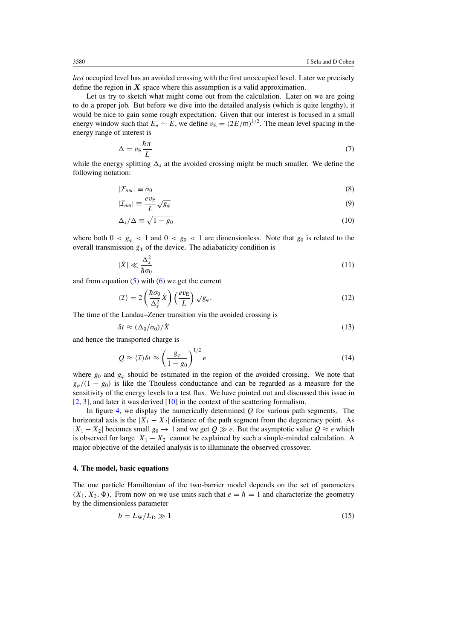<span id="page-5-0"></span>*last* occupied level has an avoided crossing with the first unoccupied level. Later we precisely define the region in  $X$  space where this assumption is a valid approximation.

Let us try to sketch what might come out from the calculation. Later on we are going to do a proper job. But before we dive into the detailed analysis (which is quite lengthy), it would be nice to gain some rough expectation. Given that our interest is focused in a small energy window such that  $E_n \sim E$ , we define  $v_E = (2E/m)^{1/2}$ . The mean level spacing in the energy range of interest is

$$
\Delta = v_{\rm E} \frac{\hbar \pi}{L} \tag{7}
$$

while the energy splitting  $\Delta_s$  at the avoided crossing might be much smaller. We define the following notation:

$$
|\mathcal{F}_{nm}| \equiv \sigma_0 \tag{8}
$$

$$
|\mathcal{I}_{nm}| \equiv \frac{ev_{\rm E}}{L} \sqrt{g_{\varphi}}
$$
 (9)

$$
\Delta_s/\Delta \equiv \sqrt{1 - g_0} \tag{10}
$$

where both  $0 < g_\varrho < 1$  and  $0 < g_0 < 1$  are dimensionless. Note that  $g_0$  is related to the overall transmission  $\overline{g}_T$  of the device. The adiabaticity condition is

$$
|\dot{X}| \ll \frac{\Delta_s^2}{\hbar \sigma_0} \tag{11}
$$

and from equation  $(5)$  with  $(6)$  we get the current

$$
\langle \mathcal{I} \rangle = 2 \left( \frac{\hbar \sigma_0}{\Delta_s^2} \dot{X} \right) \left( \frac{e v_{\rm E}}{L} \right) \sqrt{g_{\varphi}}.
$$
\n(12)

The time of the Landau–Zener transition via the avoided crossing is

$$
\delta t \approx (\Delta_0/\sigma_0)/\dot{X} \tag{13}
$$

and hence the transported charge is

$$
Q \approx \langle \mathcal{I} \rangle \delta t \approx \left(\frac{g_{\varphi}}{1 - g_0}\right)^{1/2} e \tag{14}
$$

where  $g_0$  and  $g_\varphi$  should be estimated in the region of the avoided crossing. We note that  $g_{\varphi}/(1 - g_0)$  is like the Thouless conductance and can be regarded as a measure for the sensitivity of the energy levels to a test flux. We have pointed out and discussed this issue in [\[2](#page-17-0), [3](#page-17-0)], and later it was derived [\[10\]](#page-17-0) in the context of the scattering formalism.

In figure [4,](#page-6-0) we display the numerically determined *Q* for various path segments. The horizontal axis is the  $|X_1 - X_2|$  distance of the path segment from the degeneracy point. As  $|X_1 - X_2|$  becomes small *g*<sub>0</sub> → 1 and we get *Q*  $\gg$  *e*. But the asymptotic value *Q*  $\approx$  *e* which is observed for large  $|X_1 - X_2|$  cannot be explained by such a simple-minded calculation. A major objective of the detailed analysis is to illuminate the observed crossover.

## **4. The model, basic equations**

The one particle Hamiltonian of the two-barrier model depends on the set of parameters  $(X_1, X_2, \Phi)$ . From now on we use units such that  $e = \hbar = 1$  and characterize the geometry by the dimensionless parameter

$$
b = L_{\rm W}/L_{\rm D} \gg 1\tag{15}
$$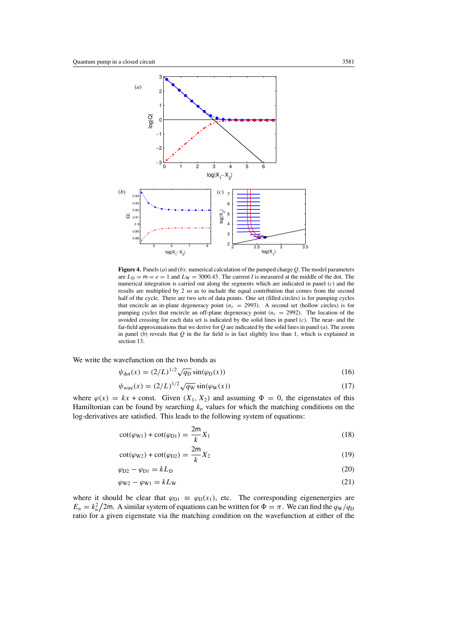<span id="page-6-0"></span>

**Figure 4.** Panels (*a*) and (*b*): numerical calculation of the pumped charge *Q*. The model parameters are  $L_D = m = e = 1$  and  $L_W = 3000.43$ . The current *I* is measured at the middle of the dot. The numerical integration is carried out along the segments which are indicated in panel (*c*) and the results are multiplied by 2 so as to include the equal contribution that comes from the second half of the cycle. There are two sets of data points. One set (filled circles) is for pumping cycles that encircle an in-plane degeneracy point  $(n_r = 2993)$ . A second set (hollow circles) is for pumping cycles that encircle an off-plane degeneracy point  $(n_r = 2992)$ . The location of the avoided crossing for each data set is indicated by the solid lines in panel (*c*). The near- and the far-field approximations that we derive for *Q* are indicated by the solid lines in panel (*a*). The zoom in panel (*b*) reveals that *Q* in the far field is in fact slightly less than 1, which is explained in section 13.

We write the wavefunction on the two bonds as

$$
\psi_{\text{dot}}(x) = (2/L)^{1/2} \sqrt{q_{\text{D}}} \sin(\varphi_{\text{D}}(x)) \tag{16}
$$

$$
\psi_{\text{wire}}(x) = (2/L)^{1/2} \sqrt{q_{\text{W}}} \sin(\varphi_{\text{W}}(x)) \tag{17}
$$

where  $\varphi(x) = kx + \text{const.}$  Given  $(X_1, X_2)$  and assuming  $\Phi = 0$ , the eigenstates of this Hamiltonian can be found by searching  $k_n$  values for which the matching conditions on the log-derivatives are satisfied. This leads to the following system of equations:

$$
\cot(\varphi_{\text{W1}}) + \cot(\varphi_{\text{D1}}) = \frac{2m}{k} X_1 \tag{18}
$$

$$
\cot(\varphi_{\text{W2}}) + \cot(\varphi_{\text{D2}}) = \frac{2\mathsf{m}}{k} X_2 \tag{19}
$$

$$
\varphi_{D2} - \varphi_{D1} = kL_D \tag{20}
$$

$$
\varphi_{\rm W2} - \varphi_{\rm W1} = kL_{\rm W} \tag{21}
$$

where it should be clear that  $\varphi_{D1} \equiv \varphi_D(x_1)$ , etc. The corresponding eigenenergies are  $E_n = k_n^2/2m$ . A similar system of equations can be written for  $\Phi = \pi$ . We can find the  $q_W/q_D$ ratio for a given eigenstate via the matching condition on the wavefunction at either of the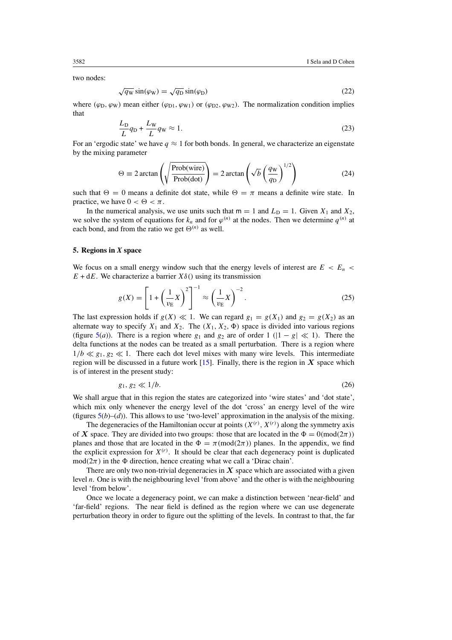<span id="page-7-0"></span>two nodes:

$$
\sqrt{q_{\rm W}}\sin(\varphi_{\rm W}) = \sqrt{q_{\rm D}}\sin(\varphi_{\rm D})\tag{22}
$$

where  $(\varphi_D, \varphi_W)$  mean either  $(\varphi_{D1}, \varphi_{W1})$  or  $(\varphi_{D2}, \varphi_{W2})$ . The normalization condition implies that

$$
\frac{L_D}{L}q_D + \frac{L_W}{L}q_W \approx 1. \tag{23}
$$

For an 'ergodic state' we have  $q \approx 1$  for both bonds. In general, we characterize an eigenstate by the mixing parameter

$$
\Theta \equiv 2 \arctan\left(\sqrt{\frac{\text{Prob(wire)}}{\text{Prob(dot)}}}\right) = 2 \arctan\left(\sqrt{b} \left(\frac{q_{\text{W}}}{q_{\text{D}}}\right)^{1/2}\right) \tag{24}
$$

such that  $\Theta = 0$  means a definite dot state, while  $\Theta = \pi$  means a definite wire state. In practice, we have  $0 < \Theta < \pi$ .

In the numerical analysis, we use units such that  $m = 1$  and  $L<sub>D</sub> = 1$ . Given  $X<sub>1</sub>$  and  $X<sub>2</sub>$ , we solve the system of equations for  $k_n$  and for  $\varphi^{(n)}$  at the nodes. Then we determine  $q^{(n)}$  at each bond, and from the ratio we get  $\Theta^{(n)}$  as well.

#### **5. Regions in** *X* **space**

We focus on a small energy window such that the energy levels of interest are  $E < E_n$  $E + dE$ . We characterize a barrier  $X\delta()$  using its transmission

$$
g(X) = \left[1 + \left(\frac{1}{v_{\rm E}}X\right)^2\right]^{-1} \approx \left(\frac{1}{v_{\rm E}}X\right)^{-2}.\tag{25}
$$

The last expression holds if  $g(X) \ll 1$ . We can regard  $g_1 = g(X_1)$  and  $g_2 = g(X_2)$  as an alternate way to specify  $X_1$  and  $X_2$ . The  $(X_1, X_2, \Phi)$  space is divided into various regions (figure [5\(](#page-8-0)*a*)). There is a region where  $g_1$  and  $g_2$  are of order 1 ( $|1 - g| \ll 1$ ). There the delta functions at the nodes can be treated as a small perturbation. There is a region where  $1/b \ll g_1, g_2 \ll 1$ . There each dot level mixes with many wire levels. This intermediate region will be discussed in a future work  $[15]$ . Finally, there is the region in  $X$  space which is of interest in the present study:

$$
g_1, g_2 \ll 1/b. \tag{26}
$$

We shall argue that in this region the states are categorized into 'wire states' and 'dot state', which mix only whenever the energy level of the dot 'cross' an energy level of the wire (figures  $5(b)-(d)$  $5(b)-(d)$ ). This allows to use 'two-level' approximation in the analysis of the mixing.

The degeneracies of the Hamiltonian occur at points  $(X^{(r)}, X^{(r)})$  along the symmetry axis of *X* space. They are divided into two groups: those that are located in the  $\Phi = 0 \pmod{2\pi}$ planes and those that are located in the  $\Phi = \pi \pmod{2\pi}$  planes. In the appendix, we find the explicit expression for  $X^{(r)}$ . It should be clear that each degeneracy point is duplicated  $mod(2\pi)$  in the  $\Phi$  direction, hence creating what we call a 'Dirac chain'.

There are only two non-trivial degeneracies in  $X$  space which are associated with a given level *n*. One is with the neighbouring level 'from above' and the other is with the neighbouring level 'from below'.

Once we locate a degeneracy point, we can make a distinction between 'near-field' and 'far-field' regions. The near field is defined as the region where we can use degenerate perturbation theory in order to figure out the splitting of the levels. In contrast to that, the far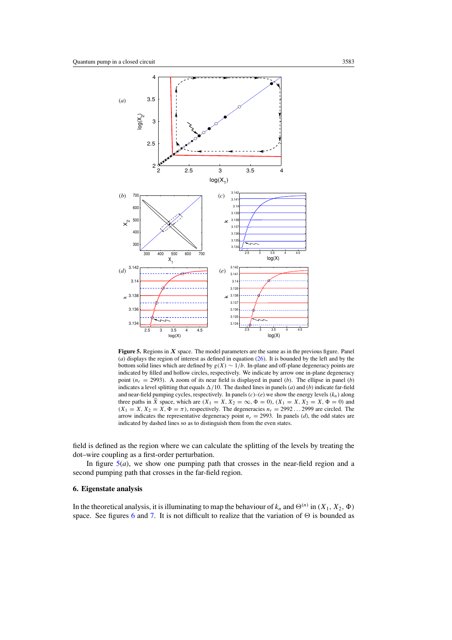<span id="page-8-0"></span>

**Figure 5.** Regions in *X* space. The model parameters are the same as in the previous figure. Panel (*a*) displays the region of interest as defined in equation [\(26\)](#page-7-0). It is bounded by the left and by the bottom solid lines which are defined by  $g(X) \sim 1/b$ . In-plane and off-plane degeneracy points are indicated by filled and hollow circles, respectively. We indicate by arrow one in-plane degeneracy point  $(n_r = 2993)$ . A zoom of its near field is displayed in panel (*b*). The ellipse in panel (*b*) indicates a level splitting that equals  $\Delta/10$ . The dashed lines in panels (*a*) and (*b*) indicate far-field and near-field pumping cycles, respectively. In panels  $(c)$ – $(e)$  we show the energy levels  $(k_n)$  along three paths in *X* space, which are  $(X_1 = X, X_2 = \infty, \Phi = 0)$ ,  $(X_1 = X, X_2 = X, \Phi = 0)$  and  $(X_1 = X, X_2 = X, \Phi = \pi)$ , respectively. The degeneracies  $n_r = 2992...2999$  are circled. The arrow indicates the representative degeneracy point  $n_r = 2993$ . In panels (*d*), the odd states are indicated by dashed lines so as to distinguish them from the even states.

field is defined as the region where we can calculate the splitting of the levels by treating the dot–wire coupling as a first-order perturbation.

In figure  $5(a)$ , we show one pumping path that crosses in the near-field region and a second pumping path that crosses in the far-field region.

## **6. Eigenstate analysis**

In the theoretical analysis, it is illuminating to map the behaviour of  $k_n$  and  $\Theta^{(n)}$  in  $(X_1, X_2, \Phi)$ space. See figures [6](#page-9-0) and [7.](#page-10-0) It is not difficult to realize that the variation of  $\Theta$  is bounded as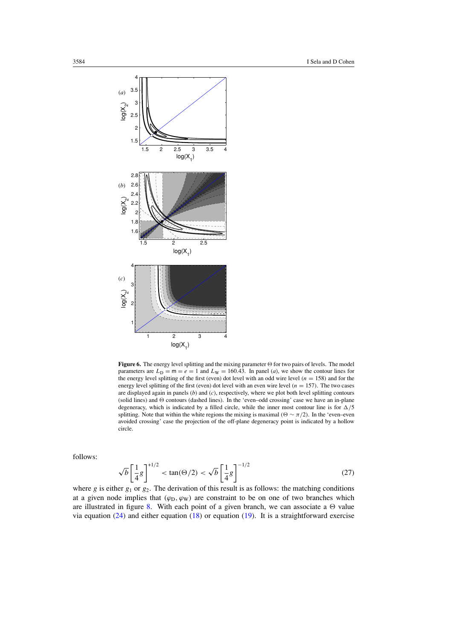<span id="page-9-0"></span>

Figure 6. The energy level splitting and the mixing parameter  $\Theta$  for two pairs of levels. The model parameters are  $L_D = m = e = 1$  and  $L_W = 160.43$ . In panel (*a*), we show the contour lines for the energy level splitting of the first (even) dot level with an odd wire level  $(n = 158)$  and for the energy level splitting of the first (even) dot level with an even wire level  $(n = 157)$ . The two cases are displayed again in panels (*b*) and (*c*), respectively, where we plot both level splitting contours (solid lines) and  $\Theta$  contours (dashed lines). In the 'even-odd crossing' case we have an in-plane degeneracy, which is indicated by a filled circle, while the inner most contour line is for  $\Delta/5$ splitting. Note that within the white regions the mixing is maximal  $(\Theta \sim \pi/2)$ . In the 'even-even avoided crossing' case the projection of the off-plane degeneracy point is indicated by a hollow circle.

follows:

$$
\sqrt{b} \left[ \frac{1}{4} g \right]^{1/2} < \tan(\Theta/2) < \sqrt{b} \left[ \frac{1}{4} g \right]^{-1/2}
$$
 (27)

where  $g$  is either  $g_1$  or  $g_2$ . The derivation of this result is as follows: the matching conditions at a given node implies that  $(\varphi_D, \varphi_W)$  are constraint to be on one of two branches which are illustrated in figure [8.](#page-10-0) With each point of a given branch, we can associate a  $\Theta$  value via equation  $(24)$  and either equation  $(18)$  or equation  $(19)$ . It is a straightforward exercise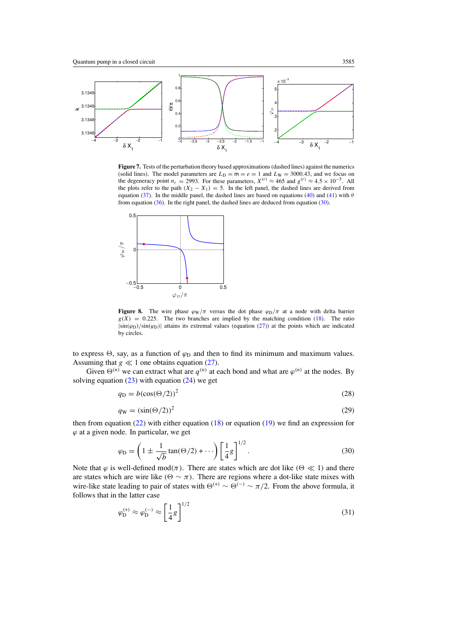<span id="page-10-0"></span>

**Figure 7.** Tests of the perturbation theory based approximations (dashed lines) against the numerics (solid lines). The model parameters are  $L_D = m = e = 1$  and  $L_W = 3000.43$ , and we focus on the degeneracy point  $n_r = 2993$ . For these parameters,  $X^{(r)} \approx 465$  and  $g^{(r)} \approx 4.5 \times 10^{-5}$ . All the plots refer to the path  $(X_2 - X_1) = 5$ . In the left panel, the dashed lines are derived from equation [\(37\)](#page-11-0). In the middle panel, the dashed lines are based on equations [\(40\)](#page-11-0) and [\(41\)](#page-11-0) with *θ* from equation  $(36)$ . In the right panel, the dashed lines are deduced from equation  $(30)$ .



**Figure 8.** The wire phase  $\varphi_W/\pi$  versus the dot phase  $\varphi_D/\pi$  at a node with delta barrier  $g(X) = 0.225$ . The two branches are implied by the matching condition [\(18\)](#page-6-0). The ratio |sin*(ϕ*D*)/*sin*(ϕ*D*)*| attains its extremal values (equation [\(27\)](#page-9-0)) at the points which are indicated by circles.

to express  $\Theta$ , say, as a function of  $\varphi_D$  and then to find its minimum and maximum values. Assuming that  $g \ll 1$  one obtains equation [\(27\)](#page-9-0).

Given  $\Theta^{(n)}$  we can extract what are  $q^{(n)}$  at each bond and what are  $\varphi^{(n)}$  at the nodes. By solving equation  $(23)$  with equation  $(24)$  we get

$$
q_{\rm D} = b(\cos(\Theta/2))^2 \tag{28}
$$

$$
q_{\rm W} = (\sin(\Theta/2))^2 \tag{29}
$$

then from equation [\(22\)](#page-7-0) with either equation [\(18\)](#page-6-0) or equation [\(19\)](#page-6-0) we find an expression for  $\varphi$  at a given node. In particular, we get

$$
\varphi_{\mathcal{D}} = \left(1 \pm \frac{1}{\sqrt{b}}\tan(\Theta/2) + \cdots\right) \left[\frac{1}{4}g\right]^{1/2}.\tag{30}
$$

Note that  $\varphi$  is well-defined mod( $\pi$ ). There are states which are dot like  $(\Theta \ll 1)$  and there are states which are wire like  $(Θ \sim π)$ . There are regions where a dot-like state mixes with wire-like state leading to pair of states with  $\Theta^{(+)} \sim \Theta^{(-)} \sim \pi/2$ . From the above formula, it follows that in the latter case

$$
\varphi_{\mathcal{D}}^{(+)} \approx \varphi_{\mathcal{D}}^{(-)} \approx \left[\frac{1}{4}g\right]^{1/2} \tag{31}
$$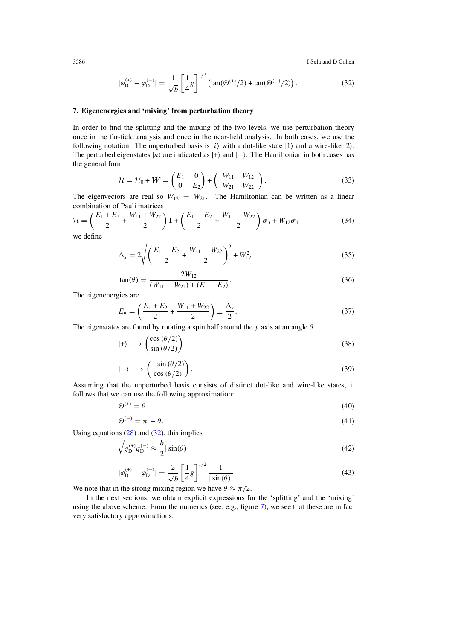$$
|\varphi_{\mathcal{D}}^{(+)} - \varphi_{\mathcal{D}}^{(-)}| = \frac{1}{\sqrt{b}} \left[ \frac{1}{4} g \right]^{1/2} \left( \tan(\Theta^{(+)} / 2) + \tan(\Theta^{(-)} / 2) \right). \tag{32}
$$

#### **7. Eigenenergies and 'mixing' from perturbation theory**

In order to find the splitting and the mixing of the two levels, we use perturbation theory once in the far-field analysis and once in the near-field analysis. In both cases, we use the following notation. The unperturbed basis is  $|i\rangle$  with a dot-like state  $|1\rangle$  and a wire-like  $|2\rangle$ . The perturbed eigenstates  $|n\rangle$  are indicated as  $|+\rangle$  and  $|-\rangle$ . The Hamiltonian in both cases has the general form

$$
\mathcal{H} = \mathcal{H}_0 + \mathbf{W} = \begin{pmatrix} E_1 & 0 \\ 0 & E_2 \end{pmatrix} + \begin{pmatrix} W_{11} & W_{12} \\ W_{21} & W_{22} \end{pmatrix}.
$$
 (33)

The eigenvectors are real so  $W_{12} = W_{21}$ . The Hamiltonian can be written as a linear combination of Pauli matrices

$$
\mathcal{H} = \left(\frac{E_1 + E_2}{2} + \frac{W_{11} + W_{22}}{2}\right) \mathbf{1} + \left(\frac{E_1 - E_2}{2} + \frac{W_{11} - W_{22}}{2}\right) \sigma_3 + W_{12} \sigma_1
$$
(34)

we define

$$
\Delta_s = 2\sqrt{\left(\frac{E_1 - E_2}{2} + \frac{W_{11} - W_{22}}{2}\right)^2 + W_{12}^2}
$$
\n(35)

$$
\tan(\theta) = \frac{2W_{12}}{(W_{11} - W_{22}) + (E_1 - E_2)}.\tag{36}
$$

The eigenenergies are

$$
E_n = \left(\frac{E_1 + E_2}{2} + \frac{W_{11} + W_{22}}{2}\right) \pm \frac{\Delta_s}{2}.
$$
 (37)

The eigenstates are found by rotating a spin half around the *y* axis at an angle *θ*

$$
|+\rangle \longrightarrow \begin{pmatrix} \cos(\theta/2) \\ \sin(\theta/2) \end{pmatrix}
$$
 (38)

$$
|-\rangle \longrightarrow \begin{pmatrix} -\sin(\theta/2) \\ \cos(\theta/2) \end{pmatrix} . \tag{39}
$$

Assuming that the unperturbed basis consists of distinct dot-like and wire-like states, it follows that we can use the following approximation:

$$
\Theta^{(+)} = \theta \tag{40}
$$

$$
\Theta^{(-)} = \pi - \theta. \tag{41}
$$

Using equations  $(28)$  and  $(32)$ , this implies

$$
\sqrt{q_{\rm D}^{(+)}q_{\rm D}^{(-)}} \approx \frac{b}{2} |\sin(\theta)| \tag{42}
$$

$$
|\varphi_{\mathcal{D}}^{(+)} - \varphi_{\mathcal{D}}^{(-)}| = \frac{2}{\sqrt{b}} \left[ \frac{1}{4} g \right]^{1/2} \frac{1}{|\sin(\theta)|}.
$$
 (43)

We note that in the strong mixing region we have  $\theta \approx \pi/2$ .

In the next sections, we obtain explicit expressions for the 'splitting' and the 'mixing' using the above scheme. From the numerics (see, e.g., figure [7\)](#page-10-0), we see that these are in fact very satisfactory approximations.

<span id="page-11-0"></span>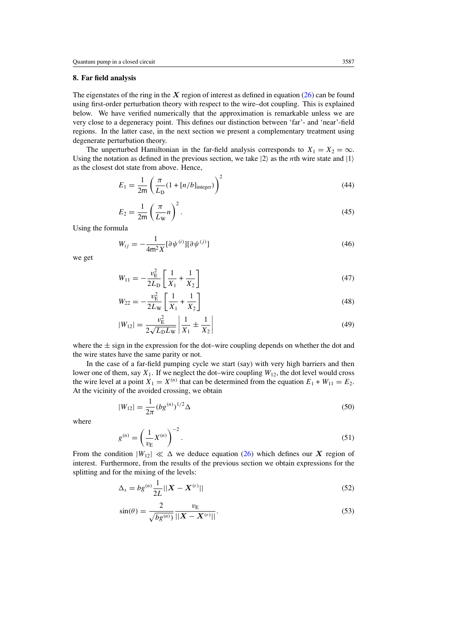## <span id="page-12-0"></span>**8. Far field analysis**

The eigenstates of the ring in the *X* region of interest as defined in equation [\(26\)](#page-7-0) can be found using first-order perturbation theory with respect to the wire–dot coupling. This is explained below. We have verified numerically that the approximation is remarkable unless we are very close to a degeneracy point. This defines our distinction between 'far'- and 'near'-field regions. In the latter case, in the next section we present a complementary treatment using degenerate perturbation theory.

The unperturbed Hamiltonian in the far-field analysis corresponds to  $X_1 = X_2 = \infty$ . Using the notation as defined in the previous section, we take  $|2\rangle$  as the *n*th wire state and  $|1\rangle$ as the closest dot state from above. Hence,

$$
E_1 = \frac{1}{2m} \left( \frac{\pi}{L_D} (1 + [n/b]_{\text{integer}}) \right)^2
$$
 (44)

$$
E_2 = \frac{1}{2m} \left(\frac{\pi}{L_{\rm W}} n\right)^2.
$$
\n(45)

Using the formula

$$
W_{ij} = -\frac{1}{4m^2 X} [\partial \psi^{(i)}] [\partial \psi^{(j)}]
$$
\n(46)

we get

$$
W_{11} = -\frac{v_{\rm E}^2}{2L_{\rm D}} \left[ \frac{1}{X_1} + \frac{1}{X_2} \right] \tag{47}
$$

$$
W_{22} = -\frac{v_{\rm E}^2}{2L_{\rm W}} \left[ \frac{1}{X_1} + \frac{1}{X_2} \right]
$$
(48)

$$
|W_{12}| = \frac{v_{\rm E}^2}{2\sqrt{L_{\rm D}L_{\rm W}}} \left| \frac{1}{X_1} \pm \frac{1}{X_2} \right| \tag{49}
$$

where the  $\pm$  sign in the expression for the dot–wire coupling depends on whether the dot and the wire states have the same parity or not.

In the case of a far-field pumping cycle we start (say) with very high barriers and then lower one of them, say *X*1. If we neglect the dot–wire coupling *W*12, the dot level would cross the wire level at a point  $X_1 = X^{(n)}$  that can be determined from the equation  $E_1 + W_{11} = E_2$ . At the vicinity of the avoided crossing, we obtain

$$
|W_{12}| = \frac{1}{2\pi} (b g^{(n)})^{1/2} \Delta
$$
 (50)

where

$$
g^{(n)} = \left(\frac{1}{v_{\rm E}}X^{(n)}\right)^{-2}.\tag{51}
$$

From the condition  $|W_{12}| \ll \Delta$  we deduce equation [\(26\)](#page-7-0) which defines our *X* region of interest. Furthermore, from the results of the previous section we obtain expressions for the splitting and for the mixing of the levels:

$$
\Delta_s = bg^{(n)} \frac{1}{2L} ||\boldsymbol{X} - \boldsymbol{X}^{(r)}|| \tag{52}
$$

$$
\sin(\theta) = \frac{2}{\sqrt{bg^{(n)}}} \frac{v_{\rm E}}{||\mathbf{X} - \mathbf{X}^{(r)}||}.
$$
\n(53)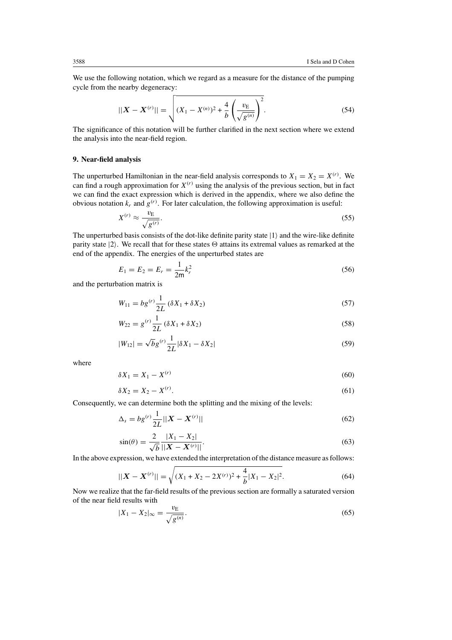We use the following notation, which we regard as a measure for the distance of the pumping cycle from the nearby degeneracy:

$$
||\boldsymbol{X} - \boldsymbol{X}^{(r)}|| = \sqrt{(X_1 - X^{(n)})^2 + \frac{4}{b} \left(\frac{v_{\rm E}}{\sqrt{g^{(n)}}}\right)^2}.
$$
 (54)

The significance of this notation will be further clarified in the next section where we extend the analysis into the near-field region.

#### **9. Near-field analysis**

The unperturbed Hamiltonian in the near-field analysis corresponds to  $X_1 = X_2 = X^{(r)}$ . We can find a rough approximation for  $X^{(r)}$  using the analysis of the previous section, but in fact we can find the exact expression which is derived in the appendix, where we also define the obvious notation  $k_r$  and  $g^{(r)}$ . For later calculation, the following approximation is useful:

$$
X^{(r)} \approx \frac{v_{\rm E}}{\sqrt{g^{(r)}}}. \tag{55}
$$

The unperturbed basis consists of the dot-like definite parity state  $|1\rangle$  and the wire-like definite parity state  $|2\rangle$ . We recall that for these states  $\Theta$  attains its extremal values as remarked at the end of the appendix. The energies of the unperturbed states are

$$
E_1 = E_2 = E_r = \frac{1}{2m}k_r^2
$$
\n(56)

and the perturbation matrix is

$$
W_{11} = bg^{(r)} \frac{1}{2L} (\delta X_1 + \delta X_2)
$$
 (57)

$$
W_{22} = g^{(r)} \frac{1}{2L} (\delta X_1 + \delta X_2)
$$
\n(58)

$$
|W_{12}| = \sqrt{b}g^{(r)}\frac{1}{2L}|\delta X_1 - \delta X_2|
$$
\n(59)

where

$$
\delta X_1 = X_1 - X^{(r)} \tag{60}
$$

$$
\delta X_2 = X_2 - X^{(r)}.\tag{61}
$$

Consequently, we can determine both the splitting and the mixing of the levels:

$$
\Delta_s = bg^{(r)} \frac{1}{2L} ||\mathbf{X} - \mathbf{X}^{(r)}|| \tag{62}
$$

$$
\sin(\theta) = \frac{2}{\sqrt{b}} \frac{|X_1 - X_2|}{||\mathbf{X} - \mathbf{X}^{(r)}||}.
$$
\n(63)

In the above expression, we have extended the interpretation of the distance measure as follows:

$$
||\boldsymbol{X} - \boldsymbol{X}^{(r)}|| = \sqrt{(X_1 + X_2 - 2X^{(r)})^2 + \frac{4}{b}|X_1 - X_2|^2}.
$$
 (64)

Now we realize that the far-field results of the previous section are formally a saturated version of the near field results with

$$
|X_1 - X_2|_{\infty} = \frac{v_{\rm E}}{\sqrt{g^{(n)}}}. \tag{65}
$$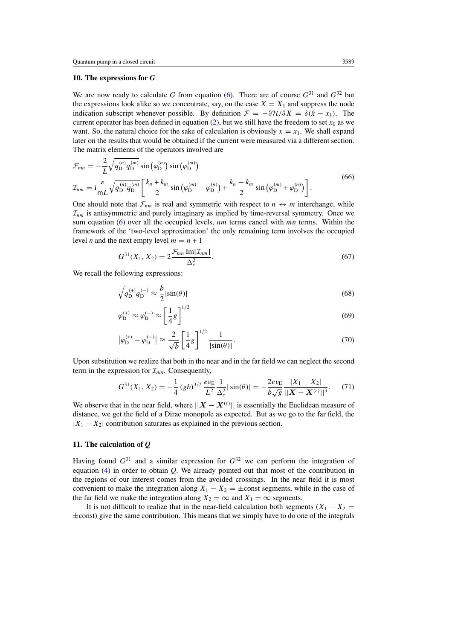## **10. The expressions for** *G*

We are now ready to calculate *G* from equation [\(6\)](#page-3-0). There are of course  $G^{31}$  and  $G^{32}$  but the expressions look alike so we concentrate, say, on the case  $X = X_1$  and suppress the node indication subscript whenever possible. By definition  $\mathcal{F} = -\partial \mathcal{H}/\partial X = \delta(\hat{x} - x_1)$ . The current operator has been defined in equation  $(2)$ , but we still have the freedom to set  $x_0$  as we want. So, the natural choice for the sake of calculation is obviously  $x = x<sub>1</sub>$ . We shall expand later on the results that would be obtained if the current were measured via a different section. The matrix elements of the operators involved are

$$
\mathcal{F}_{nm} = -\frac{2}{L} \sqrt{q_{\text{D}}^{(n)} q_{\text{D}}^{(m)}} \sin \left( \varphi_{\text{D}}^{(n)} \right) \sin \left( \varphi_{\text{D}}^{(m)} \right)
$$
\n
$$
\mathcal{I}_{nm} = i \frac{e}{mL} \sqrt{q_{\text{D}}^{(n)} q_{\text{D}}^{(m)}} \left[ \frac{k_n + k_m}{2} \sin \left( \varphi_{\text{D}}^{(m)} - \varphi_{\text{D}}^{(n)} \right) + \frac{k_n - k_m}{2} \sin \left( \varphi_{\text{D}}^{(m)} + \varphi_{\text{D}}^{(n)} \right) \right].
$$
\n(66)

One should note that  $\mathcal{F}_{nm}$  is real and symmetric with respect to  $n \leftrightarrow m$  interchange, while  $\mathcal{I}_{nm}$  is antisymmetric and purely imaginary as implied by time-reversal symmetry. Once we sum equation [\(6\)](#page-3-0) over all the occupied levels, *nm* terms cancel with *mn* terms. Within the framework of the 'two-level approximation' the only remaining term involves the occupied level *n* and the next empty level  $m = n + 1$ 

$$
G^{31}(X_1, X_2) = 2 \frac{\mathcal{F}_{mn} \operatorname{Im}[\mathcal{I}_{nm}]}{\Delta_s^2}.
$$
 (67)

We recall the following expressions:

$$
\sqrt{q_{\rm D}^{(+)}q_{\rm D}^{(-)}} \approx \frac{b}{2}|\sin(\theta)|\tag{68}
$$

$$
\varphi_{\mathcal{D}}^{(+)} \approx \varphi_{\mathcal{D}}^{(-)} \approx \left[\frac{1}{4}g\right]^{1/2} \tag{69}
$$

$$
\left|\varphi_{\mathcal{D}}^{(+)} - \varphi_{\mathcal{D}}^{(-)}\right| \approx \frac{2}{\sqrt{b}} \left[\frac{1}{4}g\right]^{1/2} \frac{1}{|\sin(\theta)|}.
$$
 (70)

Upon substitution we realize that both in the near and in the far field we can neglect the second term in the expression for  $\mathcal{I}_{nm}$ . Consequently,

$$
G^{31}(X_1, X_2) = -\frac{1}{4} (gb)^{3/2} \frac{ev_E}{L^2} \frac{1}{\Delta_s^2} |\sin(\theta)| = -\frac{2ev_E}{b\sqrt{g}} \frac{|X_1 - X_2|}{||X - X^{(r)}||^3}.
$$
 (71)

We observe that in the near field, where  $||X - X^{(r)}||$  is essentially the Euclidean measure of distance, we get the field of a Dirac monopole as expected. But as we go to the far field, the  $|X_1 - X_2|$  contribution saturates as explained in the previous section.

## **11. The calculation of** *Q*

Having found  $G^{31}$  and a similar expression for  $G^{32}$  we can perform the integration of equation [\(4\)](#page-3-0) in order to obtain *Q*. We already pointed out that most of the contribution in the regions of our interest comes from the avoided crossings. In the near field it is most convenient to make the integration along  $X_1 - X_2 = \pm$ const segments, while in the case of the far field we make the integration along  $X_2 = \infty$  and  $X_1 = \infty$  segments.

It is not difficult to realize that in the near-field calculation both segments  $(X_1 - X_2 =$ ±const*)* give the same contribution. This means that we simply have to do one of the integrals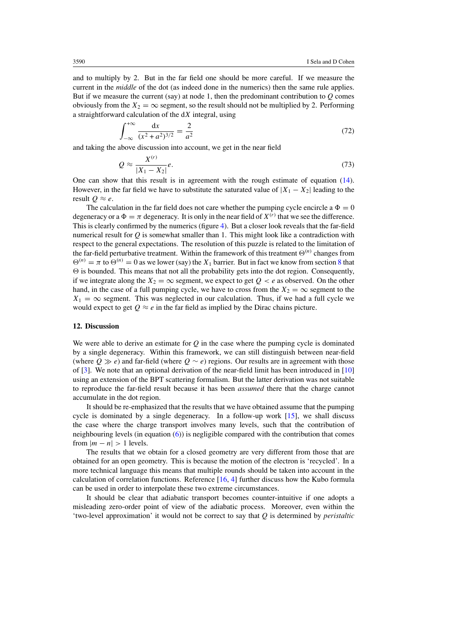<span id="page-15-0"></span>and to multiply by 2. But in the far field one should be more careful. If we measure the current in the *middle* of the dot (as indeed done in the numerics) then the same rule applies. But if we measure the current (say) at node 1, then the predominant contribution to *Q* comes obviously from the  $X_2 = \infty$  segment, so the result should not be multiplied by 2. Performing a straightforward calculation of the d*X* integral, using

$$
\int_{-\infty}^{+\infty} \frac{\mathrm{d}x}{(x^2 + a^2)^{3/2}} = \frac{2}{a^2} \tag{72}
$$

and taking the above discussion into account, we get in the near field

$$
Q \approx \frac{X^{(r)}}{|X_1 - X_2|}e. \tag{73}
$$

One can show that this result is in agreement with the rough estimate of equation [\(14\)](#page-5-0). However, in the far field we have to substitute the saturated value of  $|X_1 - X_2|$  leading to the result  $Q \approx e$ .

The calculation in the far field does not care whether the pumping cycle encircle a  $\Phi = 0$ degeneracy or a  $\Phi = \pi$  degeneracy. It is only in the near field of  $X^{(r)}$  that we see the difference. This is clearly confirmed by the numerics (figure [4\)](#page-6-0). But a closer look reveals that the far-field numerical result for  $Q$  is somewhat smaller than 1. This might look like a contradiction with respect to the general expectations. The resolution of this puzzle is related to the limitation of the far-field perturbative treatment. Within the framework of this treatment  $\Theta^{(n)}$  changes from  $\Theta^{(n)} = \pi$  to  $\Theta^{(n)} = 0$  as we lower (say) the *X*<sub>1</sub> barrier. But in fact we know from section [8](#page-12-0) that  $\Theta$  is bounded. This means that not all the probability gets into the dot region. Consequently, if we integrate along the  $X_2 = \infty$  segment, we expect to get  $Q < e$  as observed. On the other hand, in the case of a full pumping cycle, we have to cross from the  $X_2 = \infty$  segment to the  $X_1 = \infty$  segment. This was neglected in our calculation. Thus, if we had a full cycle we would expect to get  $Q \approx e$  in the far field as implied by the Dirac chains picture.

## **12. Discussion**

We were able to derive an estimate for *Q* in the case where the pumping cycle is dominated by a single degeneracy. Within this framework, we can still distinguish between near-field (where  $Q \gg e$ ) and far-field (where  $Q \sim e$ ) regions. Our results are in agreement with those of [\[3](#page-17-0)]. We note that an optional derivation of the near-field limit has been introduced in [\[10](#page-17-0)] using an extension of the BPT scattering formalism. But the latter derivation was not suitable to reproduce the far-field result because it has been *assumed* there that the charge cannot accumulate in the dot region.

It should be re-emphasized that the results that we have obtained assume that the pumping cycle is dominated by a single degeneracy. In a follow-up work [\[15](#page-17-0)], we shall discuss the case where the charge transport involves many levels, such that the contribution of neighbouring levels (in equation [\(6\)](#page-3-0)) is negligible compared with the contribution that comes from  $|m - n| > 1$  levels.

The results that we obtain for a closed geometry are very different from those that are obtained for an open geometry. This is because the motion of the electron is 'recycled'. In a more technical language this means that multiple rounds should be taken into account in the calculation of correlation functions. Reference [\[16,](#page-17-0) [4\]](#page-17-0) further discuss how the Kubo formula can be used in order to interpolate these two extreme circumstances.

It should be clear that adiabatic transport becomes counter-intuitive if one adopts a misleading zero-order point of view of the adiabatic process. Moreover, even within the 'two-level approximation' it would not be correct to say that *Q* is determined by *peristaltic*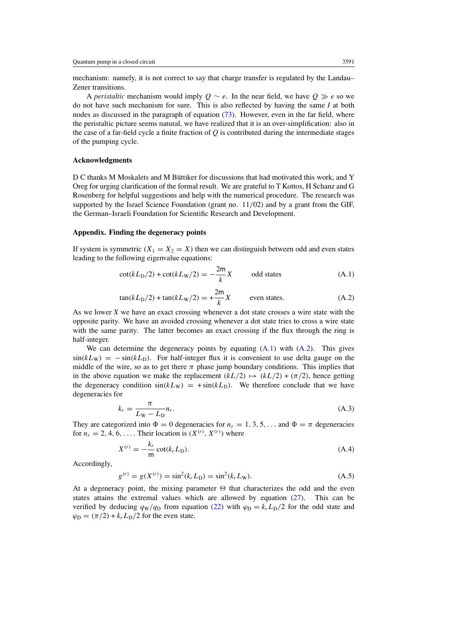mechanism: namely, it is not correct to say that charge transfer is regulated by the Landau– Zener transitions.

A *peristaltic* mechanism would imply  $Q \sim e$ . In the near field, we have  $Q \gg e$  so we do not have such mechanism for sure. This is also reflected by having the same *I* at both nodes as discussed in the paragraph of equation [\(73\)](#page-15-0). However, even in the far field, where the peristaltic picture seems natural, we have realized that it is an over-simplification: also in the case of a far-field cycle a finite fraction of *Q* is contributed during the intermediate stages of the pumping cycle.

## **Acknowledgments**

D C thanks M Moskalets and M Büttiker for discussions that had motivated this work, and Y Oreg for urging clarification of the formal result. We are grateful to T Kottos, H Schanz and G Rosenberg for helpful suggestions and help with the numerical procedure. The research was supported by the Israel Science Foundation (grant no. 11*/*02) and by a grant from the GIF, the German–Israeli Foundation for Scientific Research and Development.

## **Appendix. Finding the degeneracy points**

If system is symmetric  $(X_1 = X_2 = X)$  then we can distinguish between odd and even states leading to the following eigenvalue equations:

$$
\cot(kL_{\rm D}/2) + \cot(kL_{\rm W}/2) = -\frac{2m}{k}X
$$
 odd states (A.1)

$$
\tan(kL_{\rm D}/2) + \tan(kL_{\rm W}/2) = +\frac{2m}{k}X
$$
 even states. (A.2)

As we lower *X* we have an exact crossing whenever a dot state crosses a wire state with the opposite parity. We have an avoided crossing whenever a dot state tries to cross a wire state with the same parity. The latter becomes an exact crossing if the flux through the ring is half-integer.

We can determine the degeneracy points by equating (A*.*1) with (A*.*2). This gives  $sin(kL_W) = -sin(kL_D)$ . For half-integer flux it is convenient to use delta gauge on the middle of the wire, so as to get there  $\pi$  phase jump boundary conditions. This implies that in the above equation we make the replacement  $(kL/2) \rightarrow (kL/2) + (\pi/2)$ , hence getting the degeneracy condition  $sin(kL_W) = +sin(kL_D)$ . We therefore conclude that we have degeneracies for

$$
k_r = \frac{\pi}{L_W - L_D} n_r. \tag{A.3}
$$

They are categorized into  $\Phi = 0$  degeneracies for  $n_r = 1, 3, 5, \ldots$  and  $\Phi = \pi$  degeneracies for  $n_r = 2, 4, 6, \ldots$ . Their location is  $(X^{(r)}, X^{(r)})$  where

$$
X^{(r)} = -\frac{k_r}{m} \cot(k_r L_D). \tag{A.4}
$$

Accordingly,

$$
g^{(r)} = g(X^{(r)}) = \sin^2(k_r L_D) = \sin^2(k_r L_W). \tag{A.5}
$$

At a degeneracy point, the mixing parameter  $\Theta$  that characterizes the odd and the even states attains the extremal values which are allowed by equation  $(27)$ . This can be verified by deducing  $q_W/q_D$  from equation [\(22\)](#page-7-0) with  $\varphi_D = k_r L_D/2$  for the odd state and  $\varphi_{\rm D} = (\pi/2) + k_r L_{\rm D}/2$  for the even state.